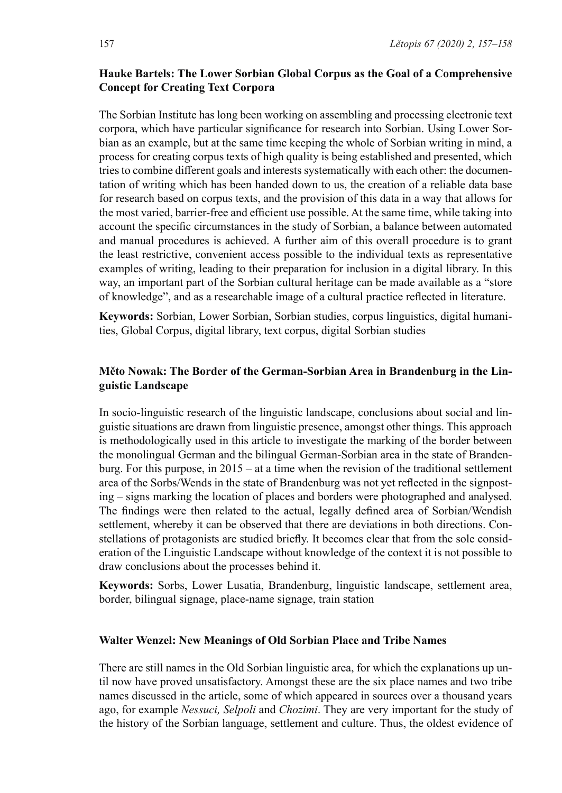# **Hauke Bartels: The Lower Sorbian Global Corpus as the Goal of a Comprehensive Concept for Creating Text Corpora**

The Sorbian Institute has long been working on assembling and processing electronic text  corpora, which have particular significance for research into Sorbian. Using Lower Sorbian as an example, but at the same time keeping the whole of Sorbian writing in mind, a  process for creating corpus texts of high quality is being established and presented, which  tries to combine different goals and interests systematically with each other: the documentation of writing which has been handed down to us, the creation of a reliable data base  for research based on corpus texts, and the provision of this data in a way that allows for  the most varied, barrier-free and efficient use possible. At the same time, while taking into  account the specific circumstances in the study of Sorbian, a balance between automated  and manual procedures is achieved. A  further aim of this overall procedure is to grant  the least restrictive, convenient access possible to the individual texts as representative  examples of writing, leading to their preparation for inclusion in a digital library. In this  way, an important part of the Sorbian cultural heritage can be made available as a "store  of knowledge", and as a researchable image of a cultural practice reflected in literature.

**Keywords:** Sorbian, Lower Sorbian, Sorbian studies, corpus linguistics, digital humanities, Global Corpus, digital library, text corpus, digital Sorbian studies

## **Měto Nowak: The Border of the German-Sorbian Area in Brandenburg in the Linguistic Landscape**

In socio-linguistic research of the linguistic landscape, conclusions about social and linguistic situations are drawn from linguistic presence, amongst other things. This approach  is methodologically used in this article to investigate the marking of the border between  the monolingual German and the bilingual German-Sorbian area in the state of Brandenburg. For this purpose, in 2015 – at a time when the revision of the traditional settlement  area of the Sorbs/Wends in the state of Brandenburg was not yet reflected in the signposting – signs marking the location of places and borders were photographed and analysed.  The  findings  were then  related to the  actual, legally  defined  area  of  Sorbian/Wendish  settlement, whereby it can be observed that there are deviations in both directions. Constellations of protagonists are studied briefly. It becomes clear that from the sole consideration of the Linguistic Landscape without knowledge of the context it is not possible to  draw conclusions about the processes behind it. 

**Keywords:**  Sorbs,  Lower  Lusatia, Brandenburg, linguistic landscape,  settlement  area,  border, bilingual signage, place-name signage, train station

#### **Walter Wenzel: New Meanings of Old Sorbian Place and Tribe Names**

There are still names in the Old Sorbian linguistic area, for which the explanations up until now have proved unsatisfactory. Amongst these are the six place names and two tribe  names discussed in the article, some of which appeared in sources over a thousand years  ago, for example *Nessuci, Selpoli* and *Chozimi*. They are very important for the study of  the history of the Sorbian language, settlement and culture. Thus, the oldest evidence of